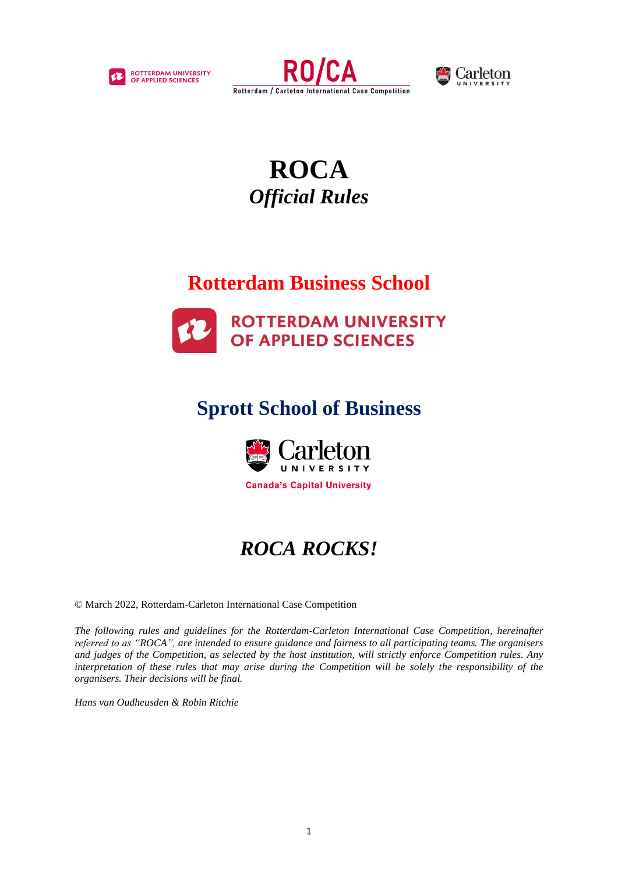





# **ROCA** *Official Rules*

# **Rotterdam Business School**



# **Sprott School of Business**



# *ROCA ROCKS!*

© March 2022, Rotterdam-Carleton International Case Competition

*The following rules and guidelines for the Rotterdam-Carleton International Case Competition, hereinafter referred to as "ROCA", are intended to ensure guidance and fairness to all participating teams. The organisers and judges of the Competition, as selected by the host institution, will strictly enforce Competition rules. Any interpretation of these rules that may arise during the Competition will be solely the responsibility of the organisers. Their decisions will be final.*

*Hans van Oudheusden & Robin Ritchie*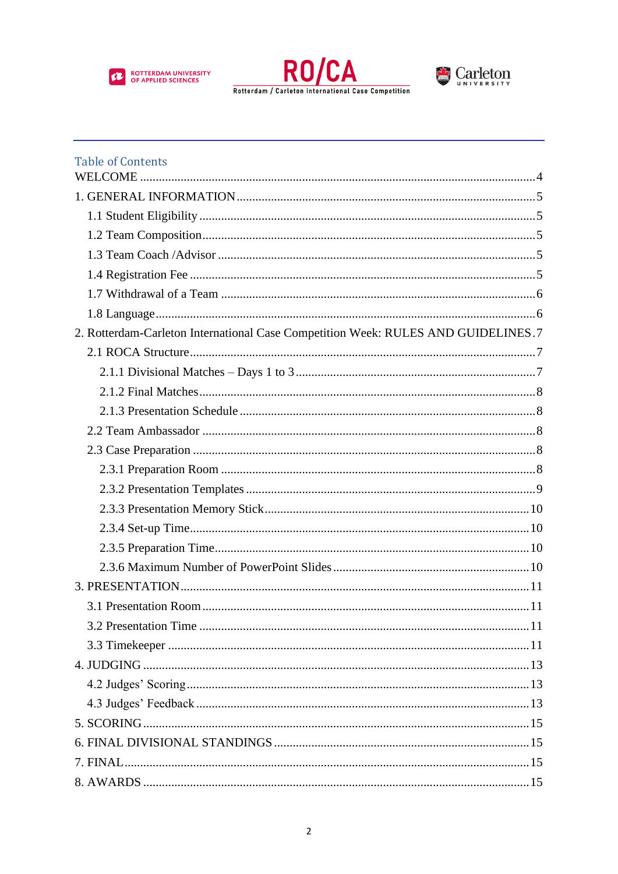





| <b>Table of Contents</b>                                                          |  |
|-----------------------------------------------------------------------------------|--|
|                                                                                   |  |
|                                                                                   |  |
|                                                                                   |  |
|                                                                                   |  |
|                                                                                   |  |
|                                                                                   |  |
|                                                                                   |  |
|                                                                                   |  |
| 2. Rotterdam-Carleton International Case Competition Week: RULES AND GUIDELINES.7 |  |
|                                                                                   |  |
|                                                                                   |  |
|                                                                                   |  |
|                                                                                   |  |
|                                                                                   |  |
|                                                                                   |  |
|                                                                                   |  |
|                                                                                   |  |
|                                                                                   |  |
|                                                                                   |  |
|                                                                                   |  |
|                                                                                   |  |
|                                                                                   |  |
|                                                                                   |  |
|                                                                                   |  |
|                                                                                   |  |
|                                                                                   |  |
|                                                                                   |  |
|                                                                                   |  |
|                                                                                   |  |
|                                                                                   |  |
|                                                                                   |  |
|                                                                                   |  |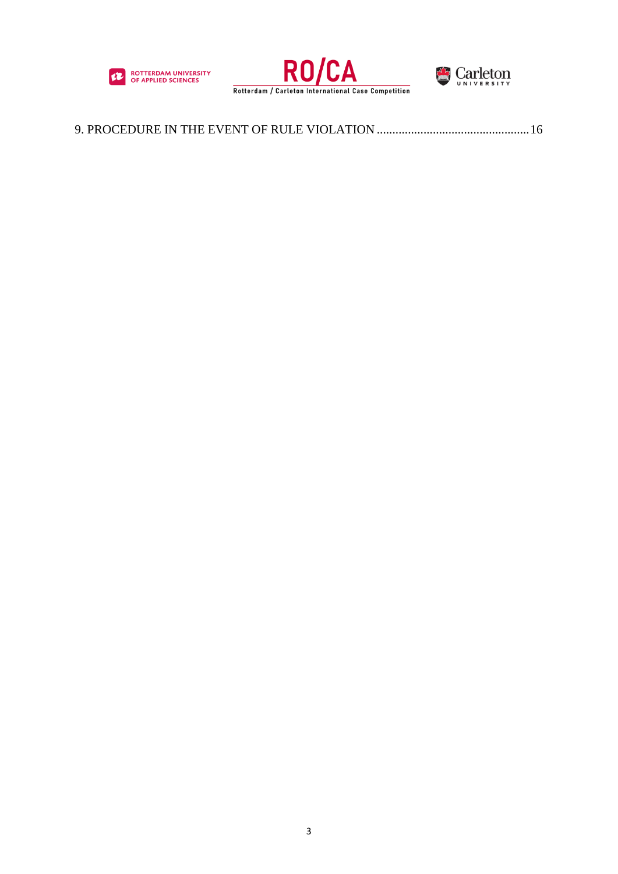





|--|--|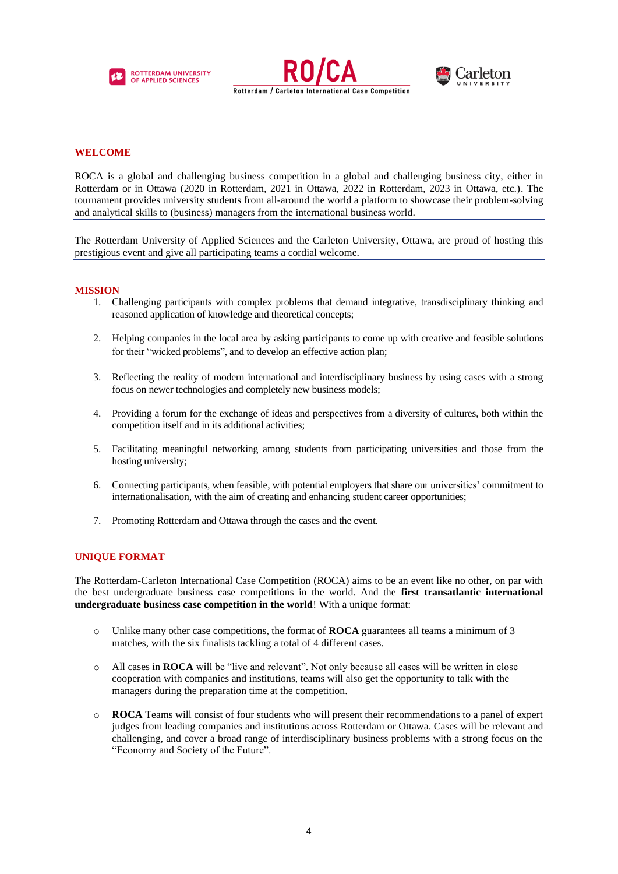





# <span id="page-3-0"></span>**WELCOME**

ROCA is a global and challenging business competition in a global and challenging business city, either in Rotterdam or in Ottawa (2020 in Rotterdam, 2021 in Ottawa, 2022 in Rotterdam, 2023 in Ottawa, etc.). The tournament provides university students from all-around the world a platform to showcase their problem-solving and analytical skills to (business) managers from the international business world.

The Rotterdam University of Applied Sciences and the Carleton University, Ottawa, are proud of hosting this prestigious event and give all participating teams a cordial welcome.

#### **MISSION**

- 1. Challenging participants with complex problems that demand integrative, transdisciplinary thinking and reasoned application of knowledge and theoretical concepts;
- 2. Helping companies in the local area by asking participants to come up with creative and feasible solutions for their "wicked problems", and to develop an effective action plan;
- 3. Reflecting the reality of modern international and interdisciplinary business by using cases with a strong focus on newer technologies and completely new business models;
- 4. Providing a forum for the exchange of ideas and perspectives from a diversity of cultures, both within the competition itself and in its additional activities;
- 5. Facilitating meaningful networking among students from participating universities and those from the hosting university;
- 6. Connecting participants, when feasible, with potential employers that share our universities' commitment to internationalisation, with the aim of creating and enhancing student career opportunities;
- 7. Promoting Rotterdam and Ottawa through the cases and the event.

# **UNIQUE FORMAT**

The Rotterdam-Carleton International Case Competition (ROCA) aims to be an event like no other, on par with the best undergraduate business case competitions in the world. And the **first transatlantic international undergraduate business case competition in the world**! With a unique format:

- o Unlike many other case competitions, the format of **ROCA** guarantees all teams a minimum of 3 matches, with the six finalists tackling a total of 4 different cases.
- o All cases in **ROCA** will be "live and relevant". Not only because all cases will be written in close cooperation with companies and institutions, teams will also get the opportunity to talk with the managers during the preparation time at the competition.
- o **ROCA** Teams will consist of four students who will present their recommendations to a panel of expert judges from leading companies and institutions across Rotterdam or Ottawa. Cases will be relevant and challenging, and cover a broad range of interdisciplinary business problems with a strong focus on the "Economy and Society of the Future".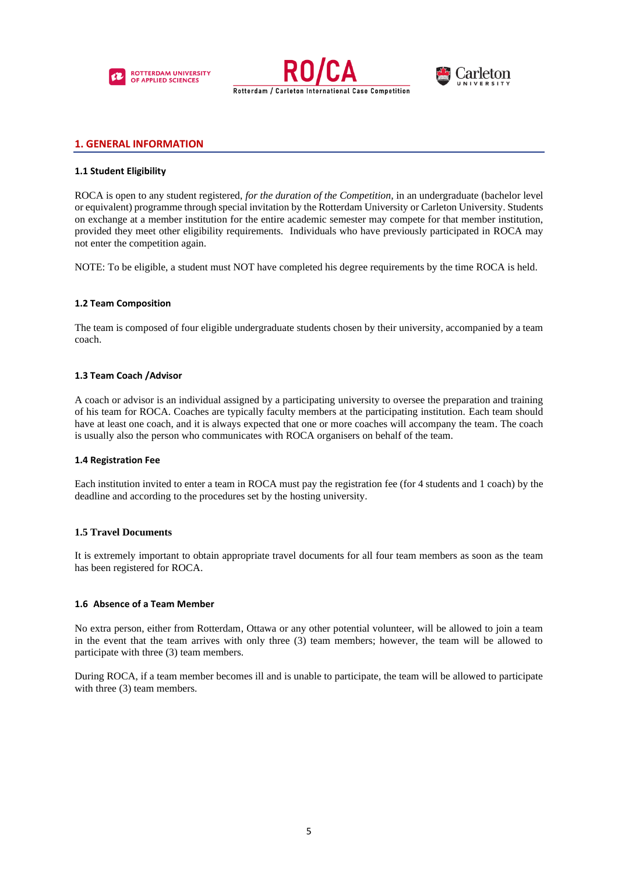





# <span id="page-4-0"></span>**1. GENERAL INFORMATION**

#### <span id="page-4-1"></span>**1.1 Student Eligibility**

ROCA is open to any student registered, *for the duration of the Competition,* in an undergraduate (bachelor level or equivalent) programme through special invitation by the Rotterdam University or Carleton University. Students on exchange at a member institution for the entire academic semester may compete for that member institution, provided they meet other eligibility requirements. Individuals who have previously participated in ROCA may not enter the competition again.

NOTE: To be eligible, a student must NOT have completed his degree requirements by the time ROCA is held.

# <span id="page-4-2"></span>**1.2 Team Composition**

The team is composed of four eligible undergraduate students chosen by their university, accompanied by a team coach.

#### <span id="page-4-3"></span>**1.3 Team Coach /Advisor**

A coach or advisor is an individual assigned by a participating university to oversee the preparation and training of his team for ROCA. Coaches are typically faculty members at the participating institution. Each team should have at least one coach, and it is always expected that one or more coaches will accompany the team. The coach is usually also the person who communicates with ROCA organisers on behalf of the team.

#### <span id="page-4-4"></span>**1.4 Registration Fee**

Each institution invited to enter a team in ROCA must pay the registration fee (for 4 students and 1 coach) by the deadline and according to the procedures set by the hosting university.

# **1.5 Travel Documents**

It is extremely important to obtain appropriate travel documents for all four team members as soon as the team has been registered for ROCA.

#### **1.6 Absence of a Team Member**

No extra person, either from Rotterdam, Ottawa or any other potential volunteer, will be allowed to join a team in the event that the team arrives with only three (3) team members; however, the team will be allowed to participate with three (3) team members.

During ROCA, if a team member becomes ill and is unable to participate, the team will be allowed to participate with three (3) team members.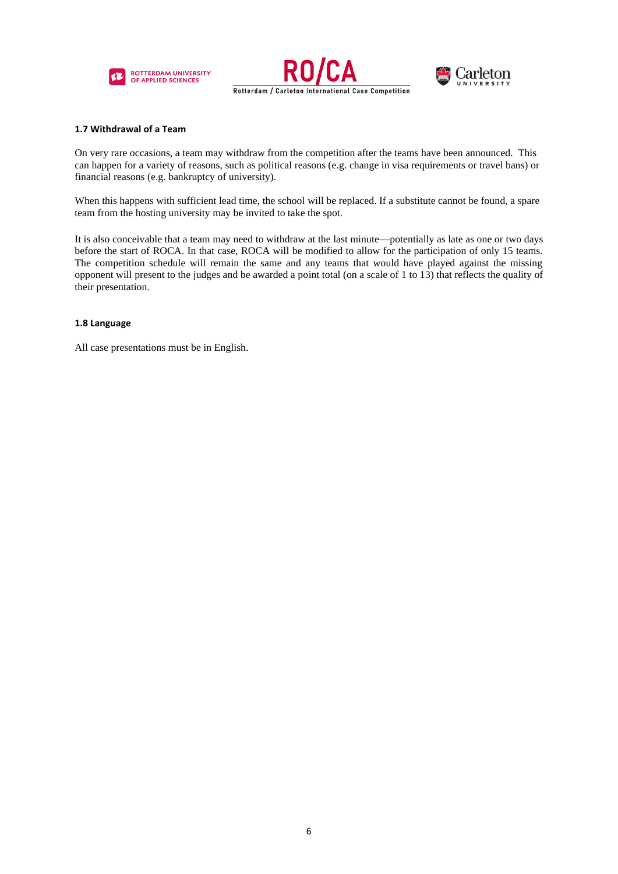





#### <span id="page-5-0"></span>**1.7 Withdrawal of a Team**

On very rare occasions, a team may withdraw from the competition after the teams have been announced. This can happen for a variety of reasons, such as political reasons (e.g. change in visa requirements or travel bans) or financial reasons (e.g. bankruptcy of university).

When this happens with sufficient lead time, the school will be replaced. If a substitute cannot be found, a spare team from the hosting university may be invited to take the spot.

It is also conceivable that a team may need to withdraw at the last minute—potentially as late as one or two days before the start of ROCA. In that case, ROCA will be modified to allow for the participation of only 15 teams. The competition schedule will remain the same and any teams that would have played against the missing opponent will present to the judges and be awarded a point total (on a scale of 1 to 13) that reflects the quality of their presentation.

# <span id="page-5-1"></span>**1.8 Language**

All case presentations must be in English.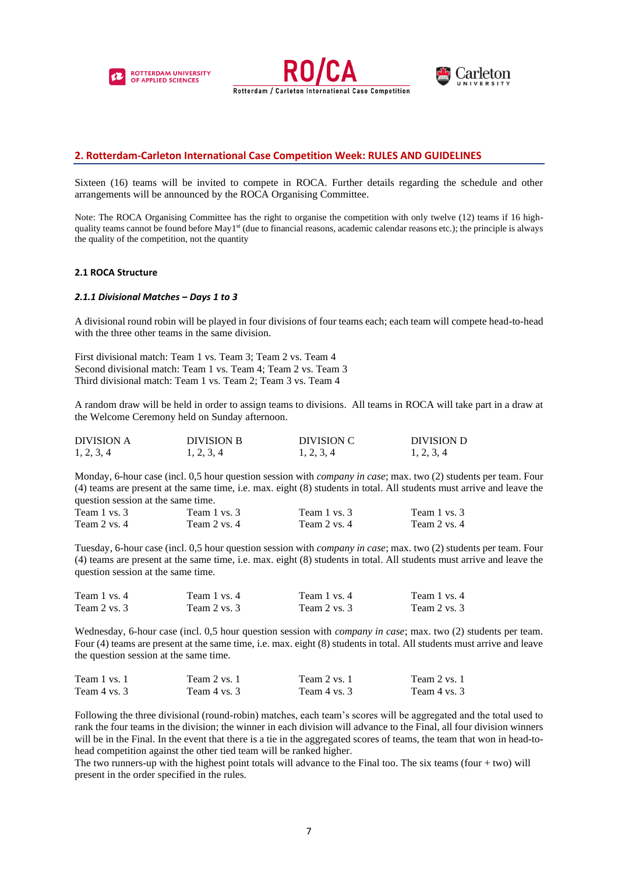





# <span id="page-6-0"></span>**2. Rotterdam-Carleton International Case Competition Week: RULES AND GUIDELINES**

Sixteen (16) teams will be invited to compete in ROCA. Further details regarding the schedule and other arrangements will be announced by the ROCA Organising Committee.

Note: The ROCA Organising Committee has the right to organise the competition with only twelve (12) teams if 16 highquality teams cannot be found before May1<sup>st</sup> (due to financial reasons, academic calendar reasons etc.); the principle is always the quality of the competition, not the quantity

#### <span id="page-6-1"></span>**2.1 ROCA Structure**

#### <span id="page-6-2"></span>*2.1.1 Divisional Matches – Days 1 to 3*

A divisional round robin will be played in four divisions of four teams each; each team will compete head-to-head with the three other teams in the same division.

First divisional match: Team 1 vs. Team 3; Team 2 vs. Team 4 Second divisional match: Team 1 vs. Team 4; Team 2 vs. Team 3 Third divisional match: Team 1 vs. Team 2; Team 3 vs. Team 4

A random draw will be held in order to assign teams to divisions. All teams in ROCA will take part in a draw at the Welcome Ceremony held on Sunday afternoon.

| <b>DIVISION A</b> | <b>DIVISION B</b> | DIVISION C | DIVISION D |
|-------------------|-------------------|------------|------------|
| 1, 2, 3, 4        | 1, 2, 3, 4        | 1, 2, 3, 4 | 1, 2, 3, 4 |

Monday, 6-hour case (incl. 0,5 hour question session with *company in case*; max. two (2) students per team. Four (4) teams are present at the same time, i.e. max. eight (8) students in total. All students must arrive and leave the question session at the same time.

| Team 1 vs. 3 | Team 1 vs. 3 | Team 1 vs. 3 | Team 1 vs. 3 |
|--------------|--------------|--------------|--------------|
| Team 2 vs. 4 | Team 2 vs. 4 | Team 2 vs. 4 | Team 2 vs. 4 |

Tuesday, 6-hour case (incl. 0,5 hour question session with *company in case*; max. two (2) students per team. Four (4) teams are present at the same time, i.e. max. eight (8) students in total. All students must arrive and leave the question session at the same time.

| Team 1 vs. 4 | Team 1 vs. 4 | Team 1 vs. 4 | Team 1 vs. 4 |
|--------------|--------------|--------------|--------------|
| Team 2 vs. 3 | Team 2 vs. 3 | Team 2 vs. 3 | Team 2 vs. 3 |

Wednesday, 6-hour case (incl. 0,5 hour question session with *company in case*; max. two (2) students per team. Four (4) teams are present at the same time, i.e. max. eight (8) students in total. All students must arrive and leave the question session at the same time.

| Team 1 vs. 1 | Team 2 vs. 1 | Team 2 vs. 1 | Team 2 vs. 1 |
|--------------|--------------|--------------|--------------|
| Team 4 vs. 3 | Team 4 vs. 3 | Team 4 vs. 3 | Team 4 vs. 3 |

Following the three divisional (round-robin) matches, each team's scores will be aggregated and the total used to rank the four teams in the division; the winner in each division will advance to the Final, all four division winners will be in the Final. In the event that there is a tie in the aggregated scores of teams, the team that won in head-tohead competition against the other tied team will be ranked higher.

The two runners-up with the highest point totals will advance to the Final too. The six teams (four + two) will present in the order specified in the rules.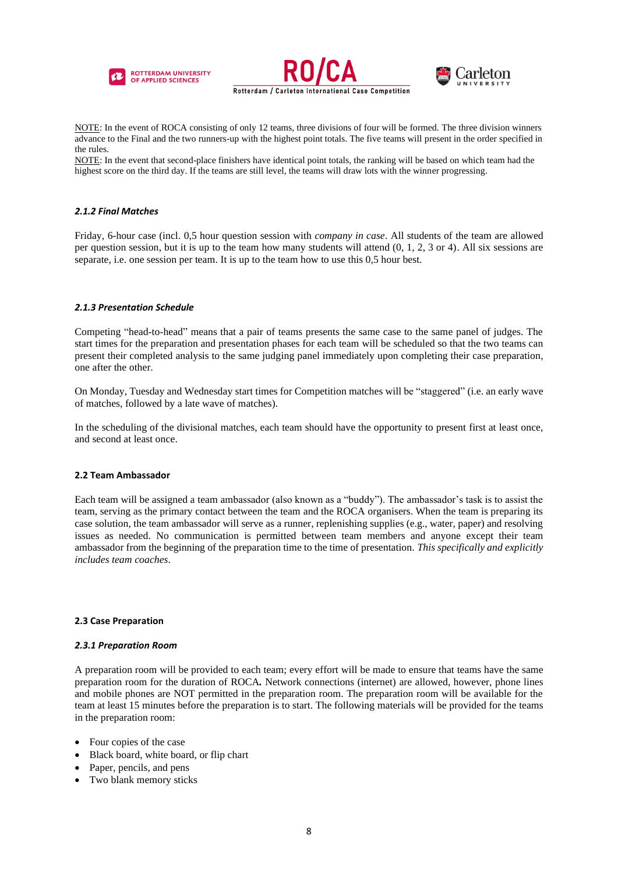





NOTE: In the event of ROCA consisting of only 12 teams, three divisions of four will be formed. The three division winners advance to the Final and the two runners-up with the highest point totals. The five teams will present in the order specified in the rules.

NOTE: In the event that second-place finishers have identical point totals, the ranking will be based on which team had the highest score on the third day. If the teams are still level, the teams will draw lots with the winner progressing.

# <span id="page-7-0"></span>*2.1.2 Final Matches*

Friday, 6-hour case (incl. 0,5 hour question session with *company in case*. All students of the team are allowed per question session, but it is up to the team how many students will attend (0, 1, 2, 3 or 4). All six sessions are separate, i.e. one session per team. It is up to the team how to use this 0,5 hour best.

# <span id="page-7-1"></span>*2.1.3 Presentation Schedule*

Competing "head-to-head" means that a pair of teams presents the same case to the same panel of judges. The start times for the preparation and presentation phases for each team will be scheduled so that the two teams can present their completed analysis to the same judging panel immediately upon completing their case preparation, one after the other.

On Monday, Tuesday and Wednesday start times for Competition matches will be "staggered" (i.e. an early wave of matches, followed by a late wave of matches).

In the scheduling of the divisional matches, each team should have the opportunity to present first at least once, and second at least once.

#### <span id="page-7-2"></span>**2.2 Team Ambassador**

Each team will be assigned a team ambassador (also known as a "buddy"). The ambassador's task is to assist the team, serving as the primary contact between the team and the ROCA organisers. When the team is preparing its case solution, the team ambassador will serve as a runner, replenishing supplies (e.g., water, paper) and resolving issues as needed. No communication is permitted between team members and anyone except their team ambassador from the beginning of the preparation time to the time of presentation. *This specifically and explicitly includes team coaches*.

#### <span id="page-7-3"></span>**2.3 Case Preparation**

#### <span id="page-7-4"></span>*2.3.1 Preparation Room*

A preparation room will be provided to each team; every effort will be made to ensure that teams have the same preparation room for the duration of ROCA*.* Network connections (internet) are allowed, however, phone lines and mobile phones are NOT permitted in the preparation room. The preparation room will be available for the team at least 15 minutes before the preparation is to start. The following materials will be provided for the teams in the preparation room:

- Four copies of the case
- Black board, white board, or flip chart
- Paper, pencils, and pens
- Two blank memory sticks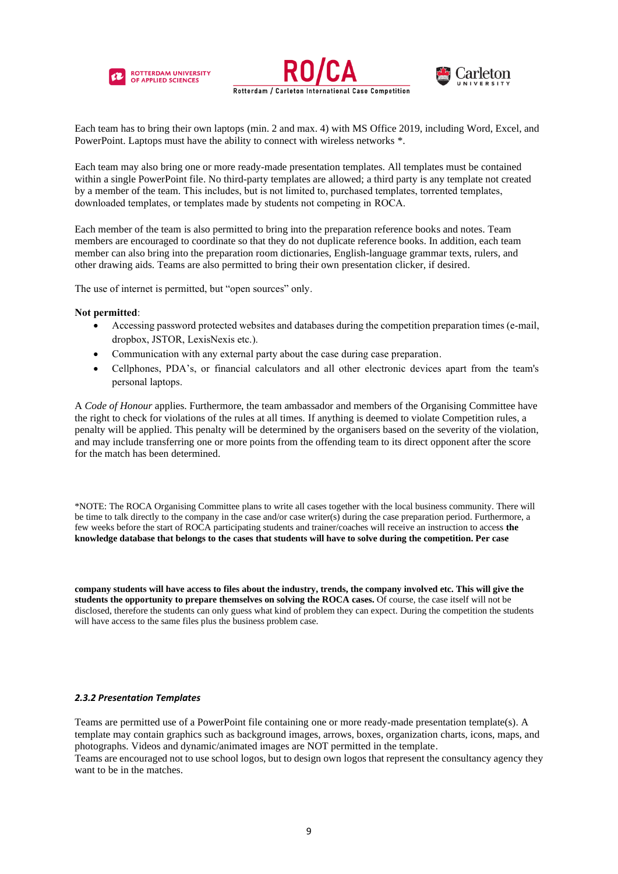





Each team has to bring their own laptops (min. 2 and max. 4) with MS Office 2019, including Word, Excel, and PowerPoint. Laptops must have the ability to connect with wireless networks \*.

Each team may also bring one or more ready-made presentation templates. All templates must be contained within a single PowerPoint file. No third-party templates are allowed; a third party is any template not created by a member of the team. This includes, but is not limited to, purchased templates, torrented templates, downloaded templates, or templates made by students not competing in ROCA.

Each member of the team is also permitted to bring into the preparation reference books and notes. Team members are encouraged to coordinate so that they do not duplicate reference books. In addition, each team member can also bring into the preparation room dictionaries, English-language grammar texts, rulers, and other drawing aids. Teams are also permitted to bring their own presentation clicker, if desired.

The use of internet is permitted, but "open sources" only.

# **Not permitted**:

- Accessing password protected websites and databases during the competition preparation times (e-mail, dropbox, JSTOR, LexisNexis etc.).
- Communication with any external party about the case during case preparation.
- Cellphones, PDA's, or financial calculators and all other electronic devices apart from the team's personal laptops.

A *Code of Honour* applies. Furthermore, the team ambassador and members of the Organising Committee have the right to check for violations of the rules at all times. If anything is deemed to violate Competition rules, a penalty will be applied. This penalty will be determined by the organisers based on the severity of the violation, and may include transferring one or more points from the offending team to its direct opponent after the score for the match has been determined.

\*NOTE: The ROCA Organising Committee plans to write all cases together with the local business community. There will be time to talk directly to the company in the case and/or case writer(s) during the case preparation period. Furthermore, a few weeks before the start of ROCA participating students and trainer/coaches will receive an instruction to access **the knowledge database that belongs to the cases that students will have to solve during the competition. Per case** 

**company students will have access to files about the industry, trends, the company involved etc. This will give the students the opportunity to prepare themselves on solving the ROCA cases.** Of course, the case itself will not be disclosed, therefore the students can only guess what kind of problem they can expect. During the competition the students will have access to the same files plus the business problem case.

#### <span id="page-8-0"></span>*2.3.2 Presentation Templates*

Teams are permitted use of a PowerPoint file containing one or more ready-made presentation template(s). A template may contain graphics such as background images, arrows, boxes, organization charts, icons, maps, and photographs. Videos and dynamic/animated images are NOT permitted in the template. Teams are encouraged not to use school logos, but to design own logos that represent the consultancy agency they want to be in the matches.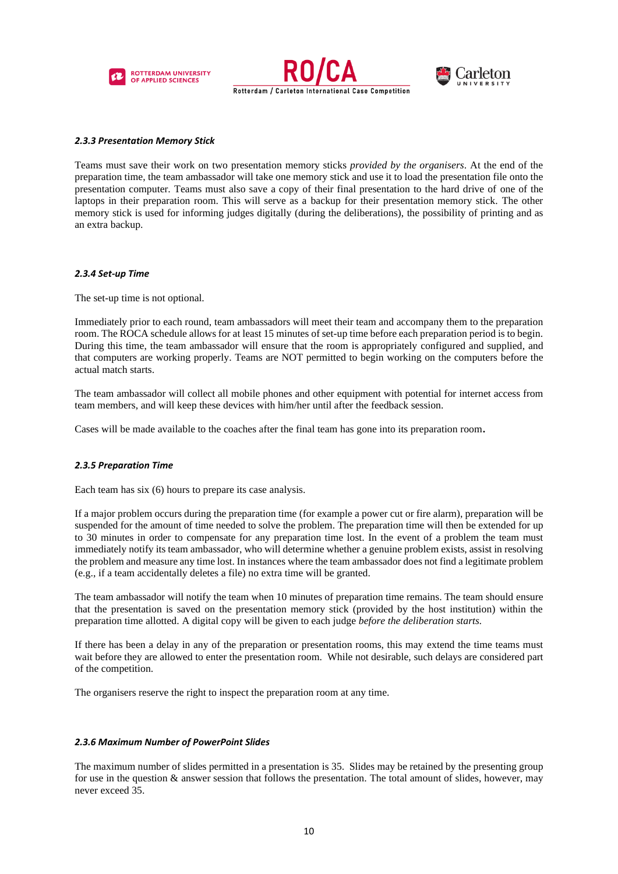





# <span id="page-9-0"></span>*2.3.3 Presentation Memory Stick*

Teams must save their work on two presentation memory sticks *provided by the organisers*. At the end of the preparation time, the team ambassador will take one memory stick and use it to load the presentation file onto the presentation computer. Teams must also save a copy of their final presentation to the hard drive of one of the laptops in their preparation room. This will serve as a backup for their presentation memory stick. The other memory stick is used for informing judges digitally (during the deliberations), the possibility of printing and as an extra backup.

#### <span id="page-9-1"></span>*2.3.4 Set-up Time*

The set-up time is not optional.

Immediately prior to each round, team ambassadors will meet their team and accompany them to the preparation room. The ROCA schedule allows for at least 15 minutes of set-up time before each preparation period is to begin. During this time, the team ambassador will ensure that the room is appropriately configured and supplied, and that computers are working properly. Teams are NOT permitted to begin working on the computers before the actual match starts.

The team ambassador will collect all mobile phones and other equipment with potential for internet access from team members, and will keep these devices with him/her until after the feedback session.

Cases will be made available to the coaches after the final team has gone into its preparation room**.**

# <span id="page-9-2"></span>*2.3.5 Preparation Time*

Each team has six (6) hours to prepare its case analysis.

If a major problem occurs during the preparation time (for example a power cut or fire alarm), preparation will be suspended for the amount of time needed to solve the problem. The preparation time will then be extended for up to 30 minutes in order to compensate for any preparation time lost. In the event of a problem the team must immediately notify its team ambassador, who will determine whether a genuine problem exists, assist in resolving the problem and measure any time lost. In instances where the team ambassador does not find a legitimate problem (e.g., if a team accidentally deletes a file) no extra time will be granted.

The team ambassador will notify the team when 10 minutes of preparation time remains. The team should ensure that the presentation is saved on the presentation memory stick (provided by the host institution) within the preparation time allotted. A digital copy will be given to each judge *before the deliberation starts.*

If there has been a delay in any of the preparation or presentation rooms, this may extend the time teams must wait before they are allowed to enter the presentation room. While not desirable, such delays are considered part of the competition.

The organisers reserve the right to inspect the preparation room at any time.

# <span id="page-9-3"></span>*2.3.6 Maximum Number of PowerPoint Slides*

The maximum number of slides permitted in a presentation is 35. Slides may be retained by the presenting group for use in the question  $\&$  answer session that follows the presentation. The total amount of slides, however, may never exceed 35.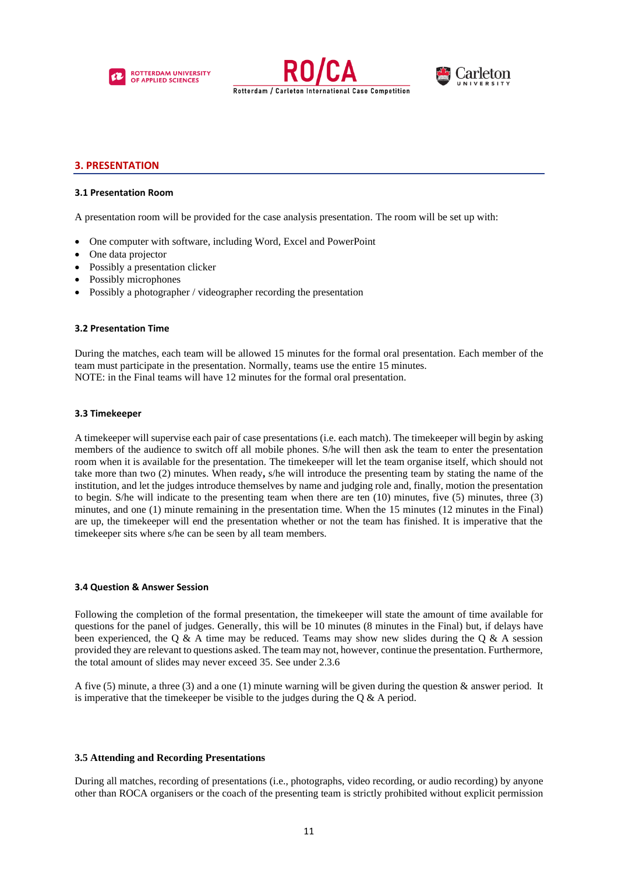





# <span id="page-10-0"></span>**3. PRESENTATION**

#### <span id="page-10-1"></span>**3.1 Presentation Room**

A presentation room will be provided for the case analysis presentation. The room will be set up with:

- One computer with software, including Word, Excel and PowerPoint
- One data projector
- Possibly a presentation clicker
- Possibly microphones
- Possibly a photographer / videographer recording the presentation

#### <span id="page-10-2"></span>**3.2 Presentation Time**

During the matches, each team will be allowed 15 minutes for the formal oral presentation. Each member of the team must participate in the presentation. Normally, teams use the entire 15 minutes. NOTE: in the Final teams will have 12 minutes for the formal oral presentation.

#### <span id="page-10-3"></span>**3.3 Timekeeper**

A timekeeper will supervise each pair of case presentations (i.e. each match). The timekeeper will begin by asking members of the audience to switch off all mobile phones. S/he will then ask the team to enter the presentation room when it is available for the presentation. The timekeeper will let the team organise itself, which should not take more than two (2) minutes. When ready**,** s/he will introduce the presenting team by stating the name of the institution, and let the judges introduce themselves by name and judging role and, finally, motion the presentation to begin. S/he will indicate to the presenting team when there are ten (10) minutes, five (5) minutes, three (3) minutes, and one (1) minute remaining in the presentation time. When the 15 minutes (12 minutes in the Final) are up, the timekeeper will end the presentation whether or not the team has finished. It is imperative that the timekeeper sits where s/he can be seen by all team members.

#### **3.4 Question & Answer Session**

Following the completion of the formal presentation, the timekeeper will state the amount of time available for questions for the panel of judges. Generally, this will be 10 minutes (8 minutes in the Final) but, if delays have been experienced, the Q & A time may be reduced. Teams may show new slides during the Q & A session provided they are relevant to questions asked. The team may not, however, continue the presentation. Furthermore, the total amount of slides may never exceed 35. See under 2.3.6

A five (5) minute, a three (3) and a one (1) minute warning will be given during the question & answer period. It is imperative that the timekeeper be visible to the judges during the  $Q & A$  period.

#### **3.5 Attending and Recording Presentations**

During all matches, recording of presentations (i.e., photographs, video recording, or audio recording) by anyone other than ROCA organisers or the coach of the presenting team is strictly prohibited without explicit permission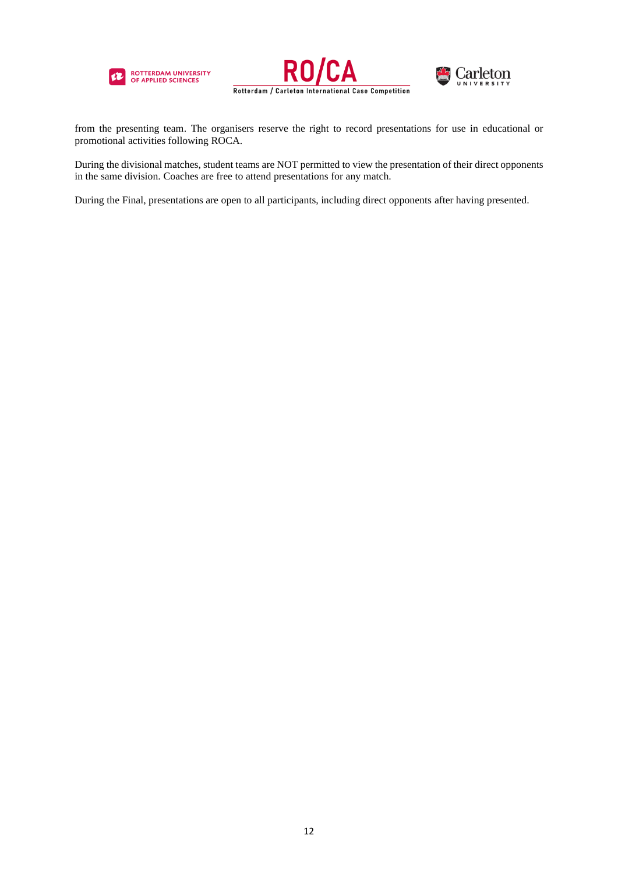





from the presenting team. The organisers reserve the right to record presentations for use in educational or promotional activities following ROCA.

During the divisional matches, student teams are NOT permitted to view the presentation of their direct opponents in the same division. Coaches are free to attend presentations for any match.

During the Final, presentations are open to all participants, including direct opponents after having presented.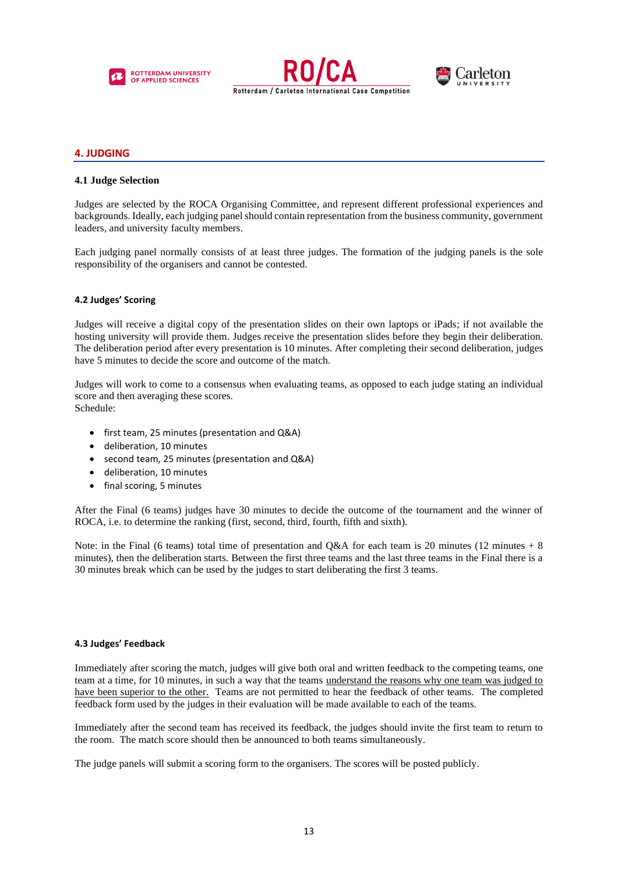





# <span id="page-12-0"></span>**4. JUDGING**

# **4.1 Judge Selection**

Judges are selected by the ROCA Organising Committee, and represent different professional experiences and backgrounds. Ideally, each judging panel should contain representation from the business community, government leaders, and university faculty members.

Each judging panel normally consists of at least three judges. The formation of the judging panels is the sole responsibility of the organisers and cannot be contested.

# <span id="page-12-1"></span>**4.2 Judges' Scoring**

Judges will receive a digital copy of the presentation slides on their own laptops or iPads; if not available the hosting university will provide them. Judges receive the presentation slides before they begin their deliberation. The deliberation period after every presentation is 10 minutes. After completing their second deliberation, judges have 5 minutes to decide the score and outcome of the match.

Judges will work to come to a consensus when evaluating teams, as opposed to each judge stating an individual score and then averaging these scores.

Schedule:

- first team, 25 minutes (presentation and Q&A)
- deliberation, 10 minutes
- second team, 25 minutes (presentation and Q&A)
- deliberation, 10 minutes
- final scoring, 5 minutes

After the Final (6 teams) judges have 30 minutes to decide the outcome of the tournament and the winner of ROCA, i.e. to determine the ranking (first, second, third, fourth, fifth and sixth).

Note: in the Final (6 teams) total time of presentation and  $Q\&A$  for each team is 20 minutes (12 minutes + 8 minutes), then the deliberation starts. Between the first three teams and the last three teams in the Final there is a 30 minutes break which can be used by the judges to start deliberating the first 3 teams.

#### <span id="page-12-2"></span>**4.3 Judges' Feedback**

Immediately after scoring the match, judges will give both oral and written feedback to the competing teams, one team at a time, for 10 minutes, in such a way that the teams understand the reasons why one team was judged to have been superior to the other. Teams are not permitted to hear the feedback of other teams. The completed feedback form used by the judges in their evaluation will be made available to each of the teams.

Immediately after the second team has received its feedback, the judges should invite the first team to return to the room. The match score should then be announced to both teams simultaneously.

The judge panels will submit a scoring form to the organisers. The scores will be posted publicly.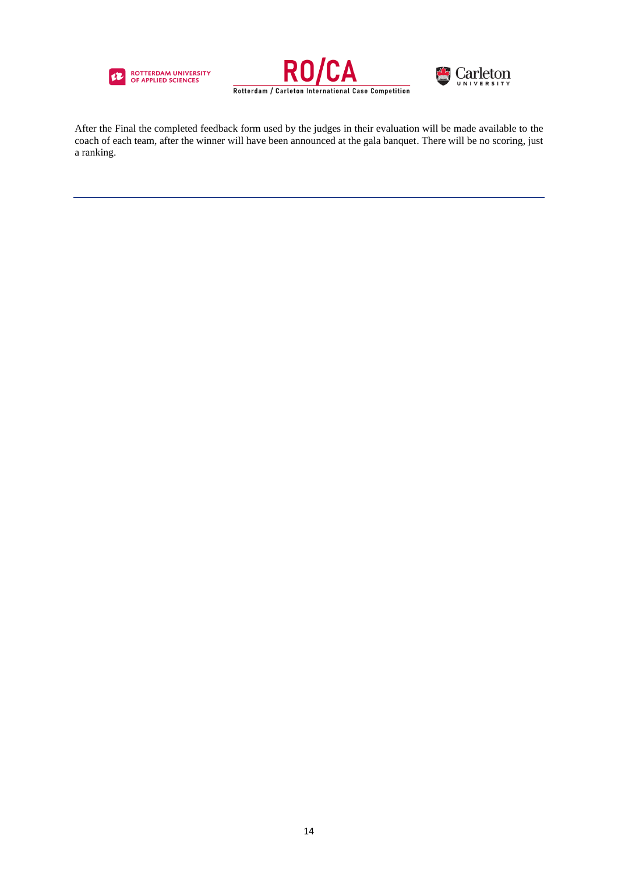





After the Final the completed feedback form used by the judges in their evaluation will be made available to the coach of each team, after the winner will have been announced at the gala banquet. There will be no scoring, just a ranking.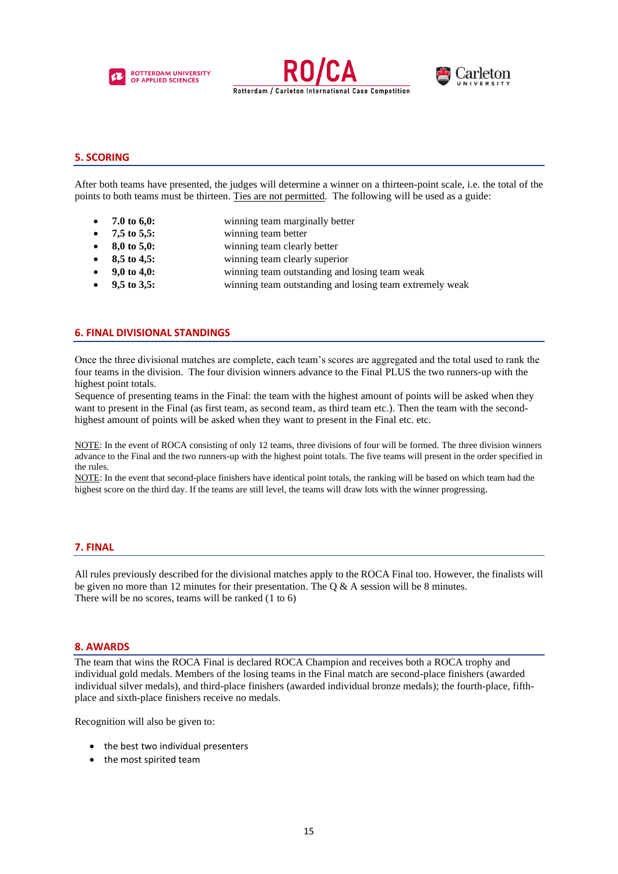





# <span id="page-14-0"></span>**5. SCORING**

After both teams have presented, the judges will determine a winner on a thirteen-point scale, i.e. the total of the points to both teams must be thirteen. Ties are not permitted. The following will be used as a guide:

- **7.0 to 6,0:** winning team marginally better
- **7,5 to 5,5:** winning team better
- **8,0 to 5,0:** winning team clearly better
	- **8,5 to 4,5:** winning team clearly superior
		- **9,0 to 4,0:** winning team outstanding and losing team weak
	- **9,5 to 3,5:** winning team outstanding and losing team extremely weak

# <span id="page-14-1"></span>**6. FINAL DIVISIONAL STANDINGS**

Once the three divisional matches are complete, each team's scores are aggregated and the total used to rank the four teams in the division. The four division winners advance to the Final PLUS the two runners-up with the highest point totals.

Sequence of presenting teams in the Final: the team with the highest amount of points will be asked when they want to present in the Final (as first team, as second team, as third team etc.). Then the team with the secondhighest amount of points will be asked when they want to present in the Final etc. etc.

NOTE: In the event of ROCA consisting of only 12 teams, three divisions of four will be formed. The three division winners advance to the Final and the two runners-up with the highest point totals. The five teams will present in the order specified in the rules.

NOTE: In the event that second-place finishers have identical point totals, the ranking will be based on which team had the highest score on the third day. If the teams are still level, the teams will draw lots with the winner progressing.

#### <span id="page-14-2"></span>**7. FINAL**

All rules previously described for the divisional matches apply to the ROCA Final too. However, the finalists will be given no more than 12 minutes for their presentation. The Q & A session will be 8 minutes. There will be no scores, teams will be ranked (1 to 6)

# <span id="page-14-3"></span>**8. AWARDS**

The team that wins the ROCA Final is declared ROCA Champion and receives both a ROCA trophy and individual gold medals. Members of the losing teams in the Final match are second-place finishers (awarded individual silver medals), and third-place finishers (awarded individual bronze medals); the fourth-place, fifthplace and sixth-place finishers receive no medals.

Recognition will also be given to:

- the best two individual presenters
- the most spirited team